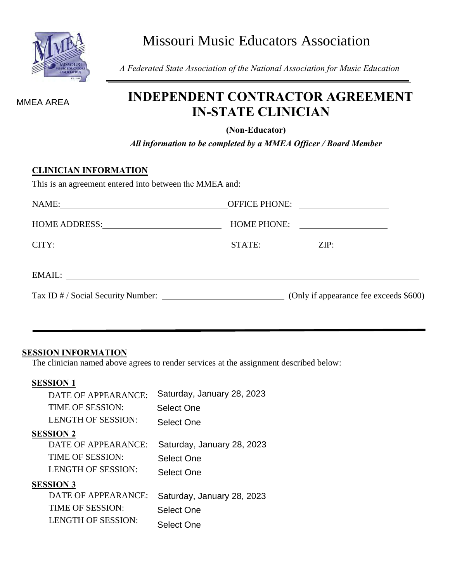

Missouri Music Educators Association

*A Federated State Association of the National Association for Music Education*

## **INDEPENDENT CONTRACTOR AGREEMENT IN-STATE CLINICIAN**

**(Non-Educator)**

*All information to be completed by a MMEA Officer / Board Member*

#### **CLINICIAN INFORMATION**

| $CITY:$ $STATE:$ $ZIP:$                                                   |  |  |
|---------------------------------------------------------------------------|--|--|
|                                                                           |  |  |
| Tax ID # / Social Security Number: (Only if appearance fee exceeds \$600) |  |  |

#### **SESSION INFORMATION**

The clinician named above agrees to render services at the assignment described below:

#### **SESSION 1**

| MMEA AREA                    | пові вивиті сопін<br><b>IN-STATE CI</b>                             |  |  |  |
|------------------------------|---------------------------------------------------------------------|--|--|--|
|                              | (Non-Educat<br>All information to be completed by a M.              |  |  |  |
| <b>CLINICIAN INFORMATION</b> | This is an agreement entered into between the MMEA and:             |  |  |  |
|                              |                                                                     |  |  |  |
|                              | HOME ADDRESS: HOME PHO                                              |  |  |  |
|                              |                                                                     |  |  |  |
|                              |                                                                     |  |  |  |
|                              |                                                                     |  |  |  |
|                              |                                                                     |  |  |  |
|                              |                                                                     |  |  |  |
| <b>SESSION INFORMATION</b>   |                                                                     |  |  |  |
|                              | The clinician named above agrees to render services at the assignme |  |  |  |
| <b>SESSION 1</b>             |                                                                     |  |  |  |
| DATE OF APPEARANCE:          | Saturday, January 28, 2023                                          |  |  |  |
| TIME OF SESSION:             | Select One                                                          |  |  |  |
| <b>LENGTH OF SESSION:</b>    | <b>Select One</b>                                                   |  |  |  |
| <u>SESSION 2</u>             |                                                                     |  |  |  |
| DATE OF APPEARANCE:          | Saturday, January 28, 2023                                          |  |  |  |
| TIME OF SESSION:             | <b>Select One</b>                                                   |  |  |  |
| <b>LENGTH OF SESSION:</b>    | <b>Select One</b>                                                   |  |  |  |
| <b>SESSION 3</b>             |                                                                     |  |  |  |
| DATE OF APPEARANCE:          | Saturday, January 28, 2023                                          |  |  |  |
| <b>TIME OF SESSION:</b>      | <b>Select One</b>                                                   |  |  |  |
| <b>LENGTH OF SESSION:</b>    | <b>Select One</b>                                                   |  |  |  |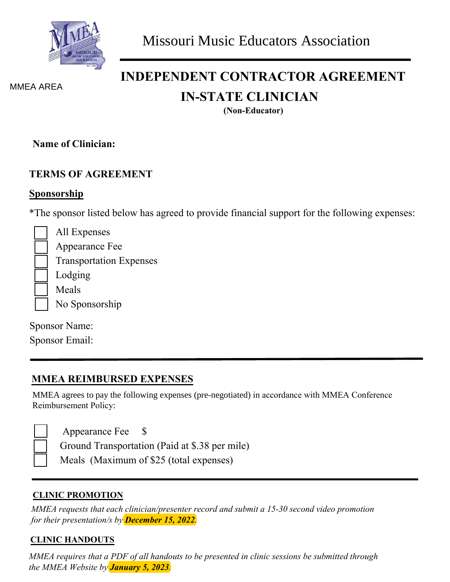

MMEA AREA

# **INDEPENDENT CONTRACTOR AGREEMENT IN-STATE CLINICIAN**

**(Non-Educator)**

**Name of Clinician:** 

#### **TERMS OF AGREEMENT**

### **Sponsorship**

\*The sponsor listed below has agreed to provide financial support for the following expenses:

All Expenses Appearance Fee Transportation Expenses Lodging Meals No Sponsorship

Sponsor Name:

Sponsor Email:

## **MMEA REIMBURSED EXPENSES**

MMEA agrees to pay the following expenses (pre-negotiated) in accordance with MMEA Conference Reimbursement Policy:

Appearance Fee \$

Ground Transportation (Paid at \$.38 per mile)

Meals (Maximum of \$25 (total expenses)

#### **CLINIC PROMOTION**

*MMEA requests that each clinician/presenter record and submit a 15-30 second video promotion for their presentation/s by December 15, 2022.*

### **CLINIC HANDOUTS**

*MMEA requires that a PDF of all handouts to be presented in clinic sessions be submitted through the MMEA Website by January 5, 2023.*